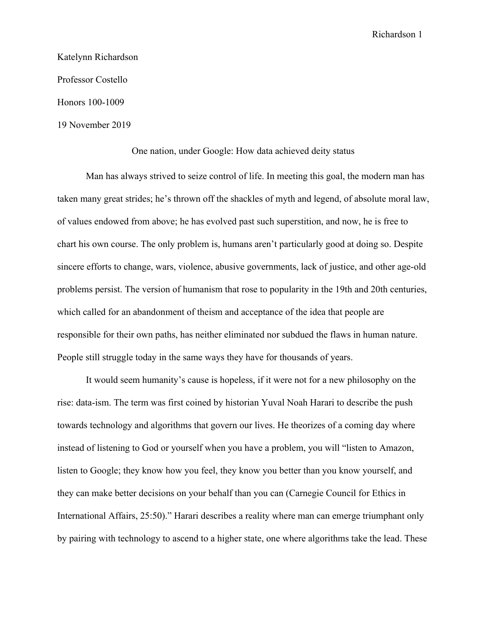Katelynn Richardson Professor Costello Honors 100-1009

19 November 2019

One nation, under Google: How data achieved deity status

Man has always strived to seize control of life. In meeting this goal, the modern man has taken many great strides; he's thrown off the shackles of myth and legend, of absolute moral law, of values endowed from above; he has evolved past such superstition, and now, he is free to chart his own course. The only problem is, humans aren't particularly good at doing so. Despite sincere efforts to change, wars, violence, abusive governments, lack of justice, and other age-old problems persist. The version of humanism that rose to popularity in the 19th and 20th centuries, which called for an abandonment of theism and acceptance of the idea that people are responsible for their own paths, has neither eliminated nor subdued the flaws in human nature. People still struggle today in the same ways they have for thousands of years.

It would seem humanity's cause is hopeless, if it were not for a new philosophy on the rise: data-ism. The term was first coined by historian Yuval Noah Harari to describe the push towards technology and algorithms that govern our lives. He theorizes of a coming day where instead of listening to God or yourself when you have a problem, you will "listen to Amazon, listen to Google; they know how you feel, they know you better than you know yourself, and they can make better decisions on your behalf than you can (Carnegie Council for Ethics in International Affairs, 25:50)." Harari describes a reality where man can emerge triumphant only by pairing with technology to ascend to a higher state, one where algorithms take the lead. These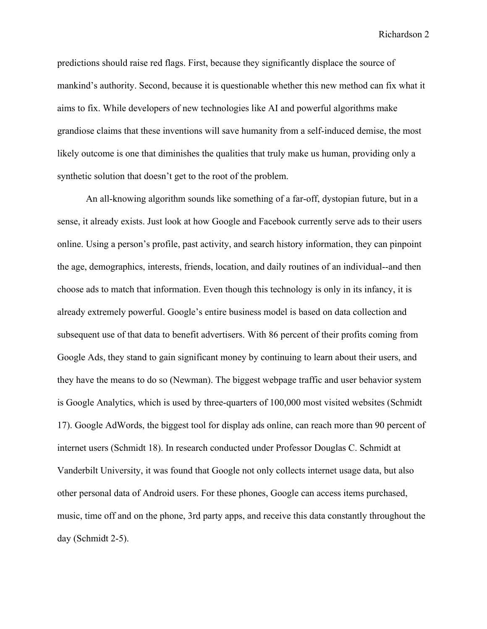predictions should raise red flags. First, because they significantly displace the source of mankind's authority. Second, because it is questionable whether this new method can fix what it aims to fix. While developers of new technologies like AI and powerful algorithms make grandiose claims that these inventions will save humanity from a self-induced demise, the most likely outcome is one that diminishes the qualities that truly make us human, providing only a synthetic solution that doesn't get to the root of the problem.

An all-knowing algorithm sounds like something of a far-off, dystopian future, but in a sense, it already exists. Just look at how Google and Facebook currently serve ads to their users online. Using a person's profile, past activity, and search history information, they can pinpoint the age, demographics, interests, friends, location, and daily routines of an individual--and then choose ads to match that information. Even though this technology is only in its infancy, it is already extremely powerful. Google's entire business model is based on data collection and subsequent use of that data to benefit advertisers. With 86 percent of their profits coming from Google Ads, they stand to gain significant money by continuing to learn about their users, and they have the means to do so (Newman). The biggest webpage traffic and user behavior system is Google Analytics, which is used by three-quarters of 100,000 most visited websites (Schmidt 17). Google AdWords, the biggest tool for display ads online, can reach more than 90 percent of internet users (Schmidt 18). In research conducted under Professor Douglas C. Schmidt at Vanderbilt University, it was found that Google not only collects internet usage data, but also other personal data of Android users. For these phones, Google can access items purchased, music, time off and on the phone, 3rd party apps, and receive this data constantly throughout the day (Schmidt 2-5).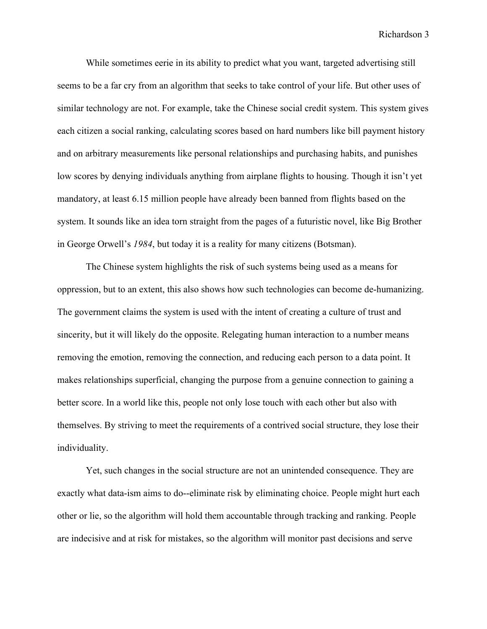While sometimes eerie in its ability to predict what you want, targeted advertising still seems to be a far cry from an algorithm that seeks to take control of your life. But other uses of similar technology are not. For example, take the Chinese social credit system. This system gives each citizen a social ranking, calculating scores based on hard numbers like bill payment history and on arbitrary measurements like personal relationships and purchasing habits, and punishes low scores by denying individuals anything from airplane flights to housing. Though it isn't yet mandatory, at least 6.15 million people have already been banned from flights based on the system. It sounds like an idea torn straight from the pages of a futuristic novel, like Big Brother in George Orwell's *1984*, but today it is a reality for many citizens (Botsman).

The Chinese system highlights the risk of such systems being used as a means for oppression, but to an extent, this also shows how such technologies can become de-humanizing. The government claims the system is used with the intent of creating a culture of trust and sincerity, but it will likely do the opposite. Relegating human interaction to a number means removing the emotion, removing the connection, and reducing each person to a data point. It makes relationships superficial, changing the purpose from a genuine connection to gaining a better score. In a world like this, people not only lose touch with each other but also with themselves. By striving to meet the requirements of a contrived social structure, they lose their individuality.

Yet, such changes in the social structure are not an unintended consequence. They are exactly what data-ism aims to do--eliminate risk by eliminating choice. People might hurt each other or lie, so the algorithm will hold them accountable through tracking and ranking. People are indecisive and at risk for mistakes, so the algorithm will monitor past decisions and serve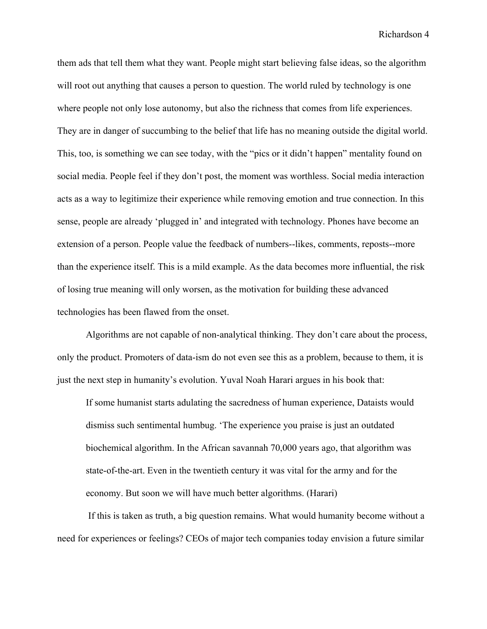them ads that tell them what they want. People might start believing false ideas, so the algorithm will root out anything that causes a person to question. The world ruled by technology is one where people not only lose autonomy, but also the richness that comes from life experiences. They are in danger of succumbing to the belief that life has no meaning outside the digital world. This, too, is something we can see today, with the "pics or it didn't happen" mentality found on social media. People feel if they don't post, the moment was worthless. Social media interaction acts as a way to legitimize their experience while removing emotion and true connection. In this sense, people are already 'plugged in' and integrated with technology. Phones have become an extension of a person. People value the feedback of numbers--likes, comments, reposts--more than the experience itself. This is a mild example. As the data becomes more influential, the risk of losing true meaning will only worsen, as the motivation for building these advanced technologies has been flawed from the onset.

Algorithms are not capable of non-analytical thinking. They don't care about the process, only the product. Promoters of data-ism do not even see this as a problem, because to them, it is just the next step in humanity's evolution. Yuval Noah Harari argues in his book that:

If some humanist starts adulating the sacredness of human experience, Dataists would dismiss such sentimental humbug. 'The experience you praise is just an outdated biochemical algorithm. In the African savannah 70,000 years ago, that algorithm was state-of-the-art. Even in the twentieth century it was vital for the army and for the economy. But soon we will have much better algorithms. (Harari)

 If this is taken as truth, a big question remains. What would humanity become without a need for experiences or feelings? CEOs of major tech companies today envision a future similar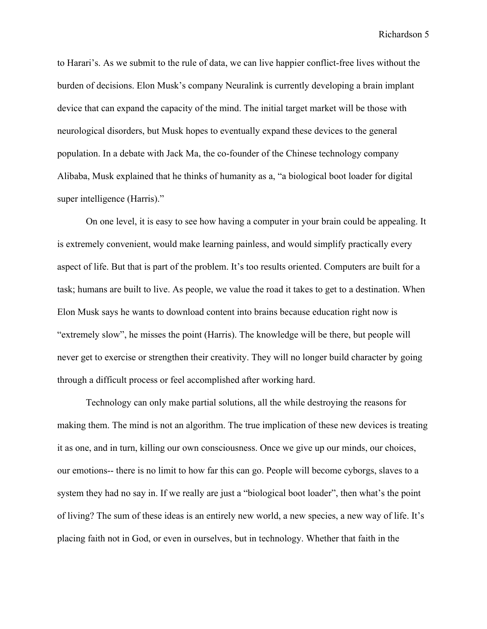to Harari's. As we submit to the rule of data, we can live happier conflict-free lives without the burden of decisions. Elon Musk's company Neuralink is currently developing a brain implant device that can expand the capacity of the mind. The initial target market will be those with neurological disorders, but Musk hopes to eventually expand these devices to the general population. In a debate with Jack Ma, the co-founder of the Chinese technology company Alibaba, Musk explained that he thinks of humanity as a, "a biological boot loader for digital super intelligence (Harris)."

On one level, it is easy to see how having a computer in your brain could be appealing. It is extremely convenient, would make learning painless, and would simplify practically every aspect of life. But that is part of the problem. It's too results oriented. Computers are built for a task; humans are built to live. As people, we value the road it takes to get to a destination. When Elon Musk says he wants to download content into brains because education right now is "extremely slow", he misses the point (Harris). The knowledge will be there, but people will never get to exercise or strengthen their creativity. They will no longer build character by going through a difficult process or feel accomplished after working hard.

Technology can only make partial solutions, all the while destroying the reasons for making them. The mind is not an algorithm. The true implication of these new devices is treating it as one, and in turn, killing our own consciousness. Once we give up our minds, our choices, our emotions-- there is no limit to how far this can go. People will become cyborgs, slaves to a system they had no say in. If we really are just a "biological boot loader", then what's the point of living? The sum of these ideas is an entirely new world, a new species, a new way of life. It's placing faith not in God, or even in ourselves, but in technology. Whether that faith in the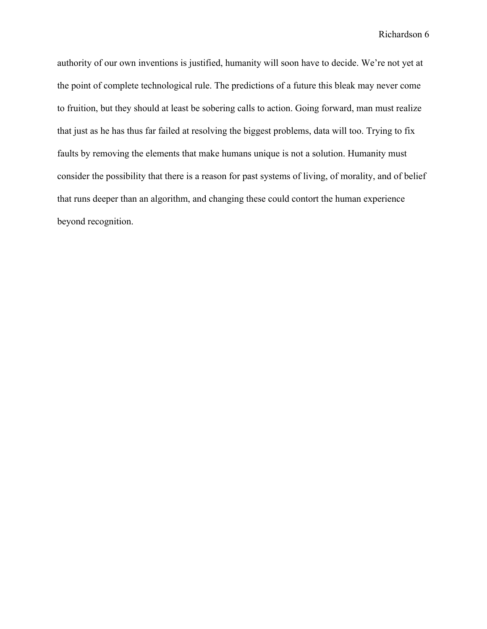authority of our own inventions is justified, humanity will soon have to decide. We're not yet at the point of complete technological rule. The predictions of a future this bleak may never come to fruition, but they should at least be sobering calls to action. Going forward, man must realize that just as he has thus far failed at resolving the biggest problems, data will too. Trying to fix faults by removing the elements that make humans unique is not a solution. Humanity must consider the possibility that there is a reason for past systems of living, of morality, and of belief that runs deeper than an algorithm, and changing these could contort the human experience beyond recognition.